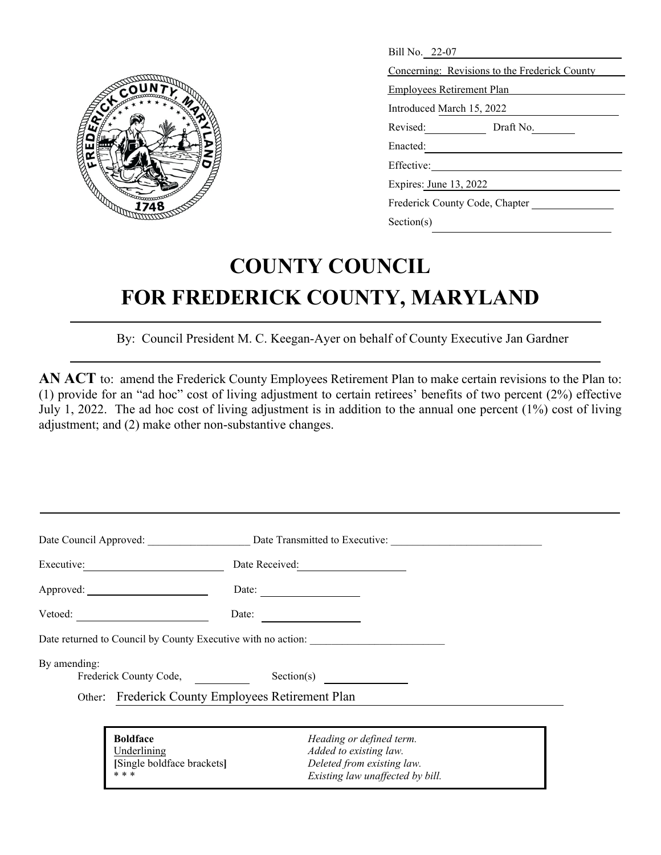

| Bill No. 22-07                                |  |  |  |
|-----------------------------------------------|--|--|--|
| Concerning: Revisions to the Frederick County |  |  |  |
| <b>Employees Retirement Plan</b>              |  |  |  |
| Introduced March 15, 2022                     |  |  |  |
| Revised: Draft No.                            |  |  |  |
| Enacted:                                      |  |  |  |
| Effective:                                    |  |  |  |
| Expires: June 13, 2022                        |  |  |  |
| Frederick County Code, Chapter                |  |  |  |
| Section(s)                                    |  |  |  |

## **COUNTY COUNCIL FOR FREDERICK COUNTY, MARYLAND**

By: Council President M. C. Keegan-Ayer on behalf of County Executive Jan Gardner

**AN ACT** to: amend the Frederick County Employees Retirement Plan to make certain revisions to the Plan to: (1) provide for an "ad hoc" cost of living adjustment to certain retirees' benefits of two percent (2%) effective July 1, 2022. The ad hoc cost of living adjustment is in addition to the annual one percent (1%) cost of living adjustment; and (2) make other non-substantive changes.

|              |                                           | Date Council Approved: Date Transmitted to Executive:        |
|--------------|-------------------------------------------|--------------------------------------------------------------|
|              | Executive:                                |                                                              |
|              |                                           | Date: $\qquad \qquad$                                        |
|              | Vetoed:                                   | Date:                                                        |
|              |                                           | Date returned to Council by County Executive with no action: |
| By amending: | Frederick County Code,                    | Section(s)                                                   |
|              |                                           | Other: Frederick County Employees Retirement Plan            |
|              |                                           |                                                              |
|              | <b>Boldface</b>                           | Heading or defined term.                                     |
|              | Underlining<br>[Single boldface brackets] | Added to existing law.<br>Deleted from existing law.         |
|              | * * *                                     | Existing law unaffected by bill.                             |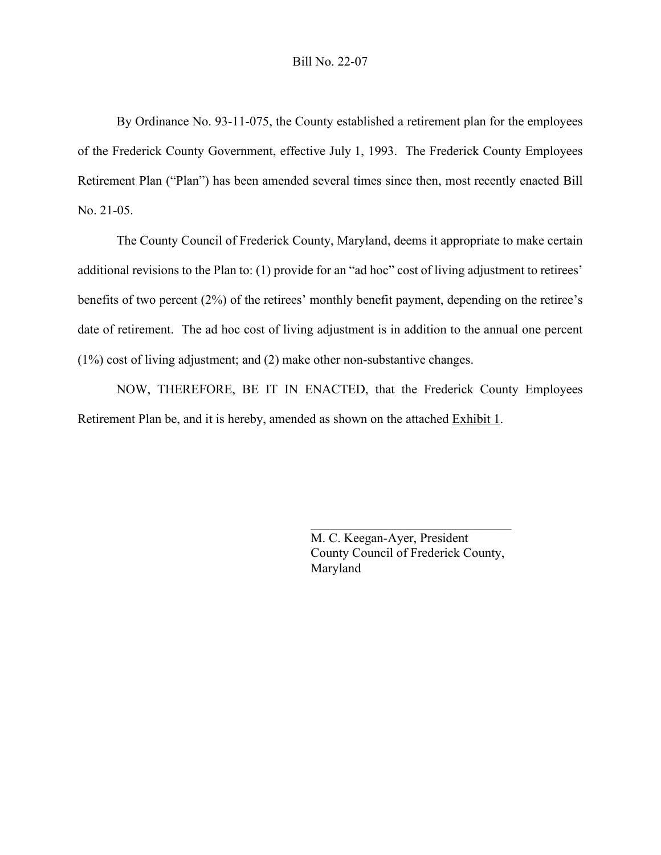## Bill No. 22-07

By Ordinance No. 93-11-075, the County established a retirement plan for the employees of the Frederick County Government, effective July 1, 1993. The Frederick County Employees Retirement Plan ("Plan") has been amended several times since then, most recently enacted Bill No. 21-05.

The County Council of Frederick County, Maryland, deems it appropriate to make certain additional revisions to the Plan to: (1) provide for an "ad hoc" cost of living adjustment to retirees' benefits of two percent (2%) of the retirees' monthly benefit payment, depending on the retiree's date of retirement. The ad hoc cost of living adjustment is in addition to the annual one percent (1%) cost of living adjustment; and (2) make other non-substantive changes.

NOW, THEREFORE, BE IT IN ENACTED, that the Frederick County Employees Retirement Plan be, and it is hereby, amended as shown on the attached Exhibit 1.

> M. C. Keegan-Ayer, President County Council of Frederick County, Maryland